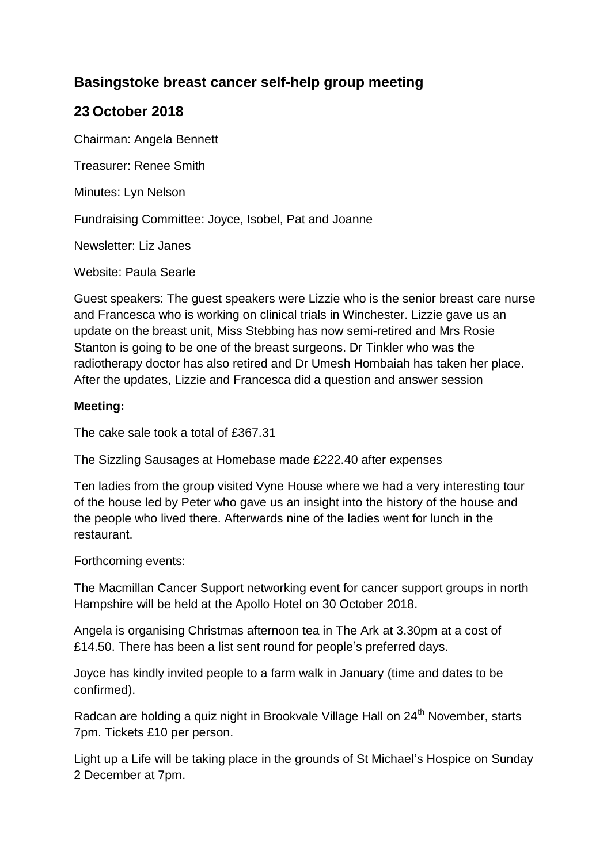## **Basingstoke breast cancer self-help group meeting**

## **23 October 2018**

Chairman: Angela Bennett

Treasurer: Renee Smith

Minutes: Lyn Nelson

Fundraising Committee: Joyce, Isobel, Pat and Joanne

Newsletter: Liz Janes

Website: Paula Searle

Guest speakers: The guest speakers were Lizzie who is the senior breast care nurse and Francesca who is working on clinical trials in Winchester. Lizzie gave us an update on the breast unit, Miss Stebbing has now semi-retired and Mrs Rosie Stanton is going to be one of the breast surgeons. Dr Tinkler who was the radiotherapy doctor has also retired and Dr Umesh Hombaiah has taken her place. After the updates, Lizzie and Francesca did a question and answer session

## **Meeting:**

The cake sale took a total of £367.31

The Sizzling Sausages at Homebase made £222.40 after expenses

Ten ladies from the group visited Vyne House where we had a very interesting tour of the house led by Peter who gave us an insight into the history of the house and the people who lived there. Afterwards nine of the ladies went for lunch in the restaurant.

Forthcoming events:

The Macmillan Cancer Support networking event for cancer support groups in north Hampshire will be held at the Apollo Hotel on 30 October 2018.

Angela is organising Christmas afternoon tea in The Ark at 3.30pm at a cost of £14.50. There has been a list sent round for people's preferred days.

Joyce has kindly invited people to a farm walk in January (time and dates to be confirmed).

Radcan are holding a quiz night in Brookvale Village Hall on 24<sup>th</sup> November, starts 7pm. Tickets £10 per person.

Light up a Life will be taking place in the grounds of St Michael's Hospice on Sunday 2 December at 7pm.